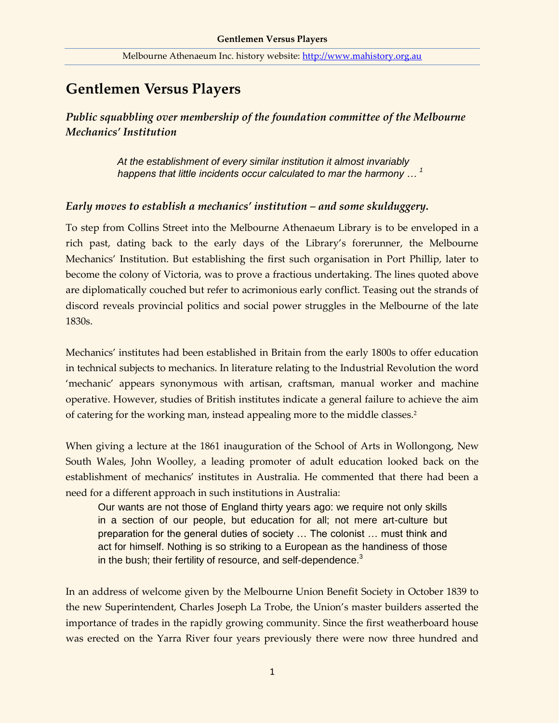# **Gentlemen Versus Players**

*Public squabbling over membership of the foundation committee of the Melbourne Mechanics' Institution*

> *At the establishment of every similar institution it almost invariably happens that little incidents occur calculated to mar the harmony … <sup>1</sup>*

### *Early moves to establish a mechanics' institution – and some skulduggery.*

To step from Collins Street into the Melbourne Athenaeum Library is to be enveloped in a rich past, dating back to the early days of the Library's forerunner, the Melbourne Mechanics' Institution. But establishing the first such organisation in Port Phillip, later to become the colony of Victoria, was to prove a fractious undertaking. The lines quoted above are diplomatically couched but refer to acrimonious early conflict. Teasing out the strands of discord reveals provincial politics and social power struggles in the Melbourne of the late 1830s.

Mechanics' institutes had been established in Britain from the early 1800s to offer education in technical subjects to mechanics. In literature relating to the Industrial Revolution the word 'mechanic' appears synonymous with artisan, craftsman, manual worker and machine operative. However, studies of British institutes indicate a general failure to achieve the aim of catering for the working man, instead appealing more to the middle classes.<sup>2</sup>

When giving a lecture at the 1861 inauguration of the School of Arts in Wollongong, New South Wales, John Woolley, a leading promoter of adult education looked back on the establishment of mechanics' institutes in Australia. He commented that there had been a need for a different approach in such institutions in Australia:

Our wants are not those of England thirty years ago: we require not only skills in a section of our people, but education for all; not mere art-culture but preparation for the general duties of society … The colonist … must think and act for himself. Nothing is so striking to a European as the handiness of those in the bush; their fertility of resource, and self-dependence.<sup>3</sup>

In an address of welcome given by the Melbourne Union Benefit Society in October 1839 to the new Superintendent, Charles Joseph La Trobe, the Union's master builders asserted the importance of trades in the rapidly growing community. Since the first weatherboard house was erected on the Yarra River four years previously there were now three hundred and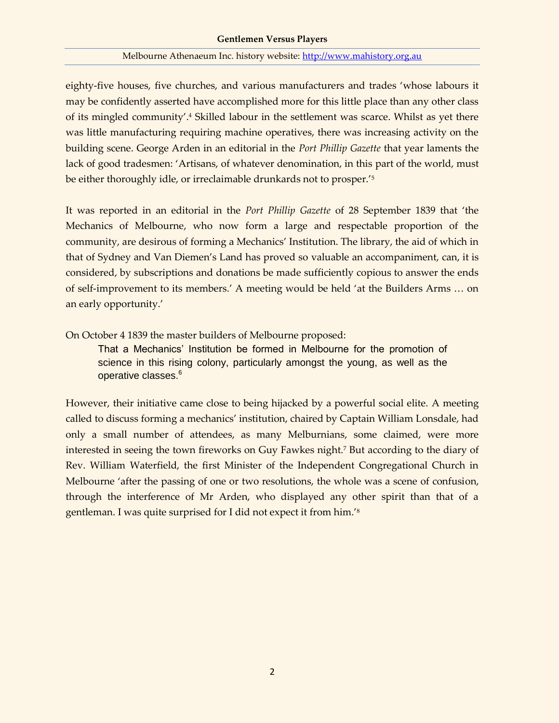#### **Gentlemen Versus Players**

#### Melbourne Athenaeum Inc. history website: [http://www.mahistory.org.au](http://www.mahistory.org.au/)

eighty-five houses, five churches, and various manufacturers and trades 'whose labours it may be confidently asserted have accomplished more for this little place than any other class of its mingled community'.<sup>4</sup> Skilled labour in the settlement was scarce. Whilst as yet there was little manufacturing requiring machine operatives, there was increasing activity on the building scene. George Arden in an editorial in the *Port Phillip Gazette* that year laments the lack of good tradesmen: 'Artisans, of whatever denomination, in this part of the world, must be either thoroughly idle, or irreclaimable drunkards not to prosper.'<sup>5</sup>

It was reported in an editorial in the *Port Phillip Gazette* of 28 September 1839 that 'the Mechanics of Melbourne, who now form a large and respectable proportion of the community, are desirous of forming a Mechanics' Institution. The library, the aid of which in that of Sydney and Van Diemen's Land has proved so valuable an accompaniment, can, it is considered, by subscriptions and donations be made sufficiently copious to answer the ends of self-improvement to its members.' A meeting would be held 'at the Builders Arms … on an early opportunity.'

On October 4 1839 the master builders of Melbourne proposed:

That a Mechanics' Institution be formed in Melbourne for the promotion of science in this rising colony, particularly amongst the young, as well as the operative classes.<sup>6</sup>

However, their initiative came close to being hijacked by a powerful social elite. A meeting called to discuss forming a mechanics' institution, chaired by Captain William Lonsdale, had only a small number of attendees, as many Melburnians, some claimed, were more interested in seeing the town fireworks on Guy Fawkes night.<sup>7</sup> But according to the diary of Rev. William Waterfield, the first Minister of the Independent Congregational Church in Melbourne 'after the passing of one or two resolutions, the whole was a scene of confusion, through the interference of Mr Arden, who displayed any other spirit than that of a gentleman. I was quite surprised for I did not expect it from him.'8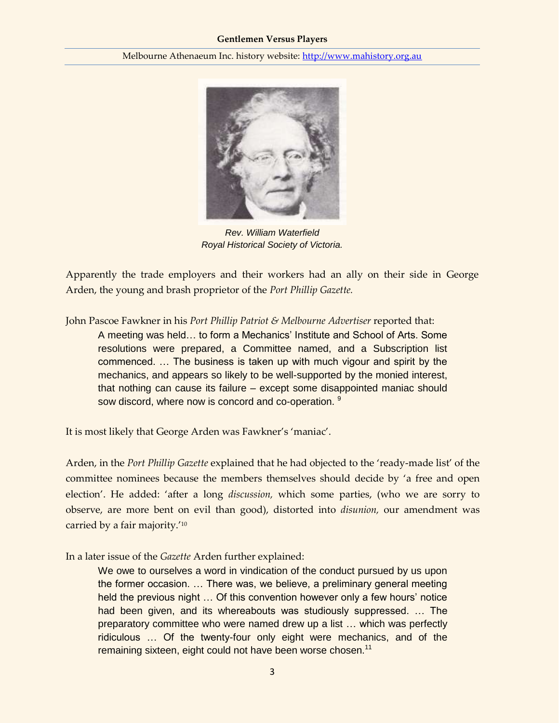

*Rev. William Waterfield Royal Historical Society of Victoria.*

Apparently the trade employers and their workers had an ally on their side in George Arden, the young and brash proprietor of the *Port Phillip Gazette.* 

John Pascoe Fawkner in his *Port Phillip Patriot & Melbourne Advertiser* reported that:

A meeting was held… to form a Mechanics' Institute and School of Arts. Some resolutions were prepared, a Committee named, and a Subscription list commenced. … The business is taken up with much vigour and spirit by the mechanics, and appears so likely to be well-supported by the monied interest, that nothing can cause its failure – except some disappointed maniac should sow discord, where now is concord and co-operation. <sup>9</sup>

It is most likely that George Arden was Fawkner's 'maniac'.

Arden, in the *Port Phillip Gazette* explained that he had objected to the 'ready-made list' of the committee nominees because the members themselves should decide by 'a free and open election'. He added: 'after a long *discussion,* which some parties, (who we are sorry to observe, are more bent on evil than good), distorted into *disunion,* our amendment was carried by a fair majority.'<sup>10</sup>

In a later issue of the *Gazette* Arden further explained:

We owe to ourselves a word in vindication of the conduct pursued by us upon the former occasion. … There was, we believe, a preliminary general meeting held the previous night … Of this convention however only a few hours' notice had been given, and its whereabouts was studiously suppressed. … The preparatory committee who were named drew up a list … which was perfectly ridiculous … Of the twenty-four only eight were mechanics, and of the remaining sixteen, eight could not have been worse chosen.<sup>11</sup>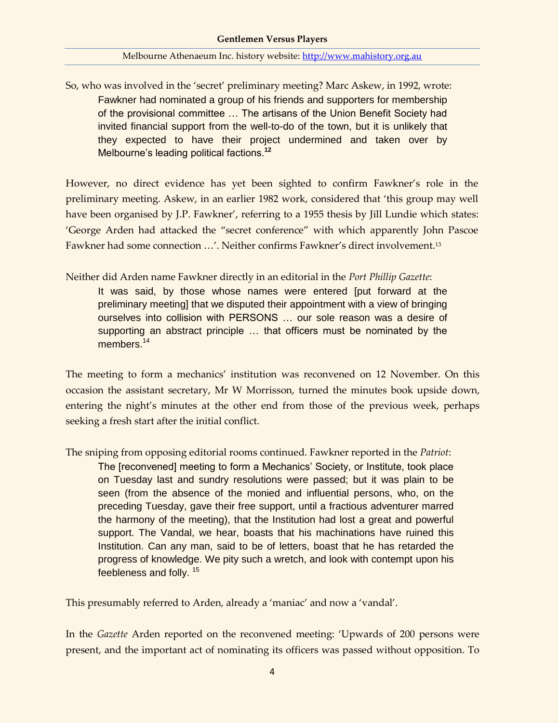So, who was involved in the 'secret' preliminary meeting? Marc Askew, in 1992, wrote: Fawkner had nominated a group of his friends and supporters for membership of the provisional committee … The artisans of the Union Benefit Society had invited financial support from the well-to-do of the town, but it is unlikely that they expected to have their project undermined and taken over by Melbourne's leading political factions.**<sup>12</sup>**

However, no direct evidence has yet been sighted to confirm Fawkner's role in the preliminary meeting. Askew, in an earlier 1982 work, considered that 'this group may well have been organised by J.P. Fawkner', referring to a 1955 thesis by Jill Lundie which states: 'George Arden had attacked the "secret conference" with which apparently John Pascoe Fawkner had some connection …'. Neither confirms Fawkner's direct involvement.<sup>13</sup>

Neither did Arden name Fawkner directly in an editorial in the *Port Phillip Gazette*:

It was said, by those whose names were entered [put forward at the preliminary meeting] that we disputed their appointment with a view of bringing ourselves into collision with PERSONS … our sole reason was a desire of supporting an abstract principle … that officers must be nominated by the members.<sup>14</sup>

The meeting to form a mechanics' institution was reconvened on 12 November. On this occasion the assistant secretary, Mr W Morrisson, turned the minutes book upside down, entering the night's minutes at the other end from those of the previous week, perhaps seeking a fresh start after the initial conflict.

The sniping from opposing editorial rooms continued. Fawkner reported in the *Patriot*:

The [reconvened] meeting to form a Mechanics' Society, or Institute, took place on Tuesday last and sundry resolutions were passed; but it was plain to be seen (from the absence of the monied and influential persons, who, on the preceding Tuesday, gave their free support, until a fractious adventurer marred the harmony of the meeting), that the Institution had lost a great and powerful support. The Vandal, we hear, boasts that his machinations have ruined this Institution. Can any man, said to be of letters, boast that he has retarded the progress of knowledge. We pity such a wretch, and look with contempt upon his feebleness and folly. <sup>15</sup>

This presumably referred to Arden, already a 'maniac' and now a 'vandal'.

In the *Gazette* Arden reported on the reconvened meeting: 'Upwards of 200 persons were present, and the important act of nominating its officers was passed without opposition. To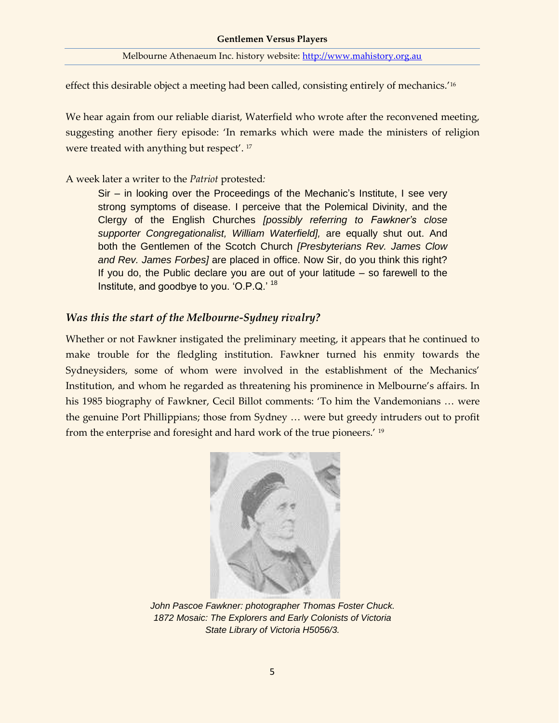effect this desirable object a meeting had been called, consisting entirely of mechanics.'<sup>16</sup>

We hear again from our reliable diarist, Waterfield who wrote after the reconvened meeting, suggesting another fiery episode: 'In remarks which were made the ministers of religion were treated with anything but respect'. 17

### A week later a writer to the *Patriot* protested*:*

Sir – in looking over the Proceedings of the Mechanic's Institute, I see very strong symptoms of disease. I perceive that the Polemical Divinity, and the Clergy of the English Churches *[possibly referring to Fawkner's close supporter Congregationalist, William Waterfield],* are equally shut out. And both the Gentlemen of the Scotch Church *[Presbyterians Rev. James Clow and Rev. James Forbes]* are placed in office. Now Sir, do you think this right? If you do, the Public declare you are out of your latitude – so farewell to the Institute, and goodbye to you. 'O.P.Q.' <sup>18</sup>

### *Was this the start of the Melbourne-Sydney rivalry?*

Whether or not Fawkner instigated the preliminary meeting, it appears that he continued to make trouble for the fledgling institution. Fawkner turned his enmity towards the Sydneysiders, some of whom were involved in the establishment of the Mechanics' Institution, and whom he regarded as threatening his prominence in Melbourne's affairs. In his 1985 biography of Fawkner, Cecil Billot comments: 'To him the Vandemonians … were the genuine Port Phillippians; those from Sydney … were but greedy intruders out to profit from the enterprise and foresight and hard work of the true pioneers.' <sup>19</sup>



*John Pascoe Fawkner: photographer Thomas Foster Chuck. 1872 Mosaic: The Explorers and Early Colonists of Victoria State Library of Victoria H5056/3.*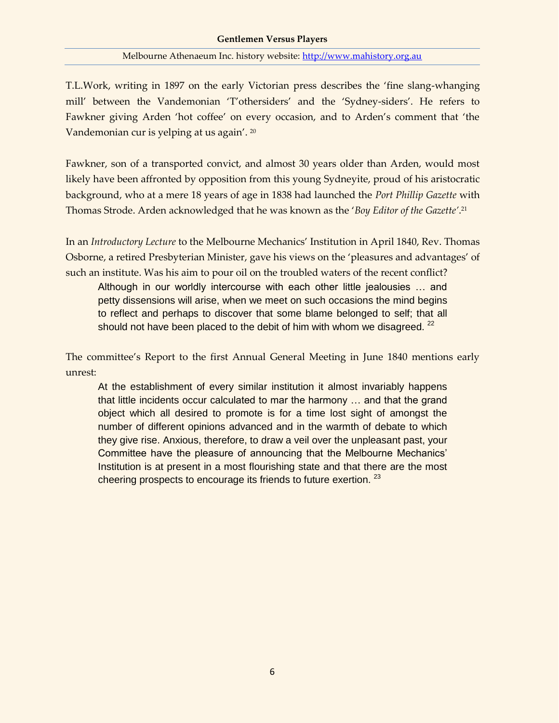T.L.Work, writing in 1897 on the early Victorian press describes the 'fine slang-whanging mill' between the Vandemonian 'T'othersiders' and the 'Sydney-siders'. He refers to Fawkner giving Arden 'hot coffee' on every occasion, and to Arden's comment that 'the Vandemonian cur is yelping at us again'. <sup>20</sup>

Fawkner, son of a transported convict, and almost 30 years older than Arden, would most likely have been affronted by opposition from this young Sydneyite, proud of his aristocratic background, who at a mere 18 years of age in 1838 had launched the *Port Phillip Gazette* with Thomas Strode. Arden acknowledged that he was known as the '*Boy Editor of the Gazette'*. 21

In an *Introductory Lecture* to the Melbourne Mechanics' Institution in April 1840, Rev. Thomas Osborne, a retired Presbyterian Minister, gave his views on the 'pleasures and advantages' of such an institute. Was his aim to pour oil on the troubled waters of the recent conflict?

Although in our worldly intercourse with each other little jealousies … and petty dissensions will arise, when we meet on such occasions the mind begins to reflect and perhaps to discover that some blame belonged to self; that all should not have been placed to the debit of him with whom we disagreed.  $22$ 

The committee's Report to the first Annual General Meeting in June 1840 mentions early unrest:

At the establishment of every similar institution it almost invariably happens that little incidents occur calculated to mar the harmony … and that the grand object which all desired to promote is for a time lost sight of amongst the number of different opinions advanced and in the warmth of debate to which they give rise. Anxious, therefore, to draw a veil over the unpleasant past, your Committee have the pleasure of announcing that the Melbourne Mechanics' Institution is at present in a most flourishing state and that there are the most cheering prospects to encourage its friends to future exertion.<sup>23</sup>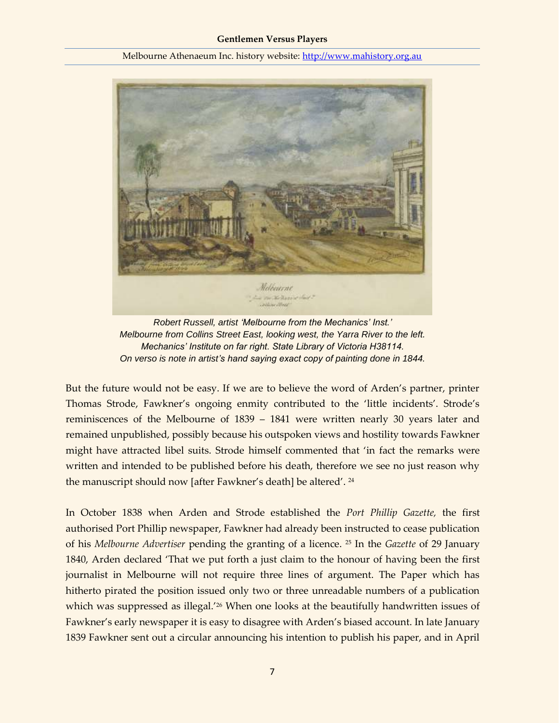

*Robert Russell, artist 'Melbourne from the Mechanics' Inst.' Melbourne from Collins Street East, looking west, the Yarra River to the left. Mechanics' Institute on far right. State Library of Victoria H38114. On verso is note in artist's hand saying exact copy of painting done in 1844.*

But the future would not be easy. If we are to believe the word of Arden's partner, printer Thomas Strode, Fawkner's ongoing enmity contributed to the 'little incidents'. Strode's reminiscences of the Melbourne of 1839 – 1841 were written nearly 30 years later and remained unpublished, possibly because his outspoken views and hostility towards Fawkner might have attracted libel suits. Strode himself commented that 'in fact the remarks were written and intended to be published before his death, therefore we see no just reason why the manuscript should now [after Fawkner's death] be altered'. <sup>24</sup>

In October 1838 when Arden and Strode established the *Port Phillip Gazette,* the first authorised Port Phillip newspaper, Fawkner had already been instructed to cease publication of his *Melbourne Advertiser* pending the granting of a licence. <sup>25</sup> In the *Gazette* of 29 January 1840, Arden declared 'That we put forth a just claim to the honour of having been the first journalist in Melbourne will not require three lines of argument. The Paper which has hitherto pirated the position issued only two or three unreadable numbers of a publication which was suppressed as illegal.<sup>'26</sup> When one looks at the beautifully handwritten issues of Fawkner's early newspaper it is easy to disagree with Arden's biased account. In late January 1839 Fawkner sent out a circular announcing his intention to publish his paper, and in April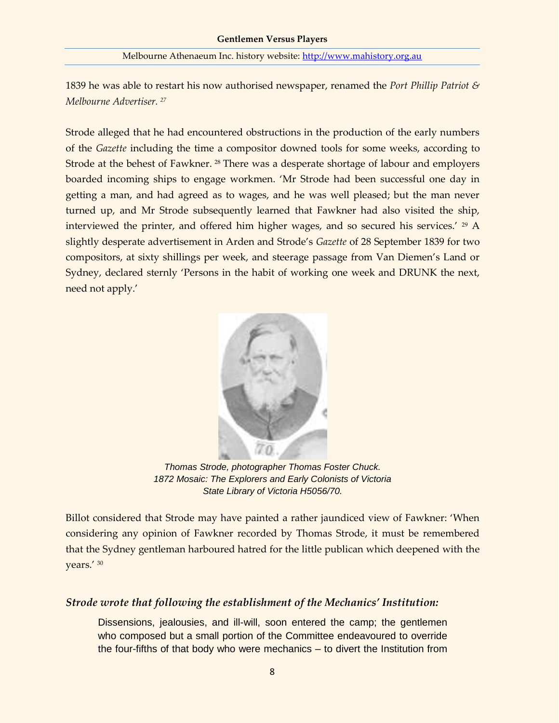1839 he was able to restart his now authorised newspaper, renamed the *Port Phillip Patriot & Melbourne Advertiser. <sup>27</sup>*

Strode alleged that he had encountered obstructions in the production of the early numbers of the *Gazette* including the time a compositor downed tools for some weeks, according to Strode at the behest of Fawkner.<sup>28</sup> There was a desperate shortage of labour and employers boarded incoming ships to engage workmen. 'Mr Strode had been successful one day in getting a man, and had agreed as to wages, and he was well pleased; but the man never turned up, and Mr Strode subsequently learned that Fawkner had also visited the ship, interviewed the printer, and offered him higher wages, and so secured his services.' <sup>29</sup> A slightly desperate advertisement in Arden and Strode's *Gazette* of 28 September 1839 for two compositors, at sixty shillings per week, and steerage passage from Van Diemen's Land or Sydney, declared sternly 'Persons in the habit of working one week and DRUNK the next, need not apply.'



*Thomas Strode, photographer Thomas Foster Chuck. 1872 Mosaic: The Explorers and Early Colonists of Victoria State Library of Victoria H5056/70.*

Billot considered that Strode may have painted a rather jaundiced view of Fawkner: 'When considering any opinion of Fawkner recorded by Thomas Strode, it must be remembered that the Sydney gentleman harboured hatred for the little publican which deepened with the years.' <sup>30</sup>

### *Strode wrote that following the establishment of the Mechanics' Institution:*

Dissensions, jealousies, and ill-will, soon entered the camp; the gentlemen who composed but a small portion of the Committee endeavoured to override the four-fifths of that body who were mechanics – to divert the Institution from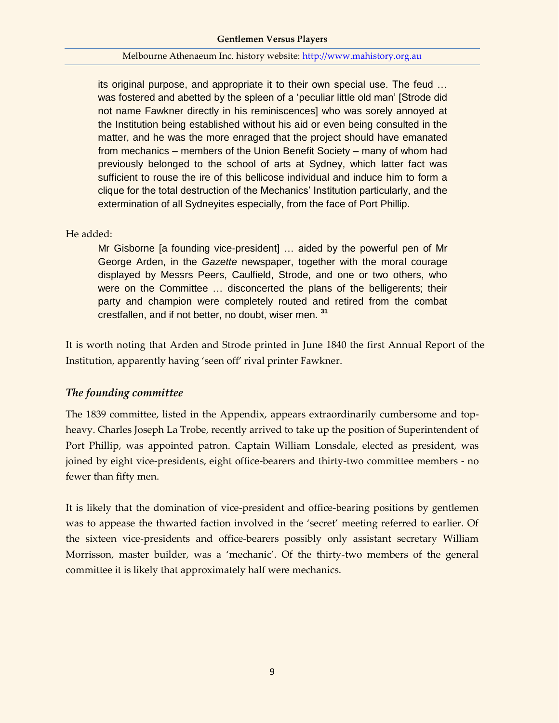its original purpose, and appropriate it to their own special use. The feud … was fostered and abetted by the spleen of a 'peculiar little old man' [Strode did not name Fawkner directly in his reminiscences] who was sorely annoyed at the Institution being established without his aid or even being consulted in the matter, and he was the more enraged that the project should have emanated from mechanics – members of the Union Benefit Society – many of whom had previously belonged to the school of arts at Sydney, which latter fact was sufficient to rouse the ire of this bellicose individual and induce him to form a clique for the total destruction of the Mechanics' Institution particularly, and the extermination of all Sydneyites especially, from the face of Port Phillip.

### He added:

Mr Gisborne [a founding vice-president] … aided by the powerful pen of Mr George Arden, in the *Gazette* newspaper, together with the moral courage displayed by Messrs Peers, Caulfield, Strode, and one or two others, who were on the Committee … disconcerted the plans of the belligerents; their party and champion were completely routed and retired from the combat crestfallen, and if not better, no doubt, wiser men. **<sup>31</sup>**

It is worth noting that Arden and Strode printed in June 1840 the first Annual Report of the Institution, apparently having 'seen off' rival printer Fawkner.

### *The founding committee*

The 1839 committee, listed in the Appendix, appears extraordinarily cumbersome and topheavy. Charles Joseph La Trobe, recently arrived to take up the position of Superintendent of Port Phillip, was appointed patron. Captain William Lonsdale, elected as president, was joined by eight vice-presidents, eight office-bearers and thirty-two committee members - no fewer than fifty men.

It is likely that the domination of vice-president and office-bearing positions by gentlemen was to appease the thwarted faction involved in the 'secret' meeting referred to earlier. Of the sixteen vice-presidents and office-bearers possibly only assistant secretary William Morrisson, master builder, was a 'mechanic'. Of the thirty-two members of the general committee it is likely that approximately half were mechanics.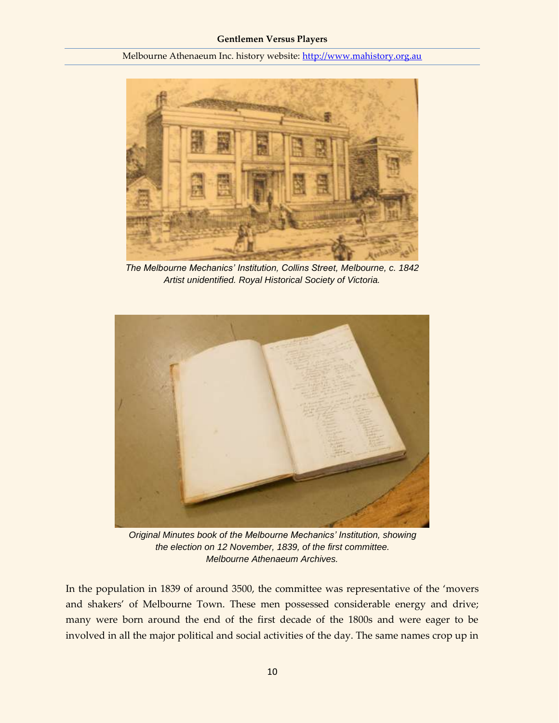

*The Melbourne Mechanics' Institution, Collins Street, Melbourne, c. 1842 Artist unidentified. Royal Historical Society of Victoria.*



*Original Minutes book of the Melbourne Mechanics' Institution, showing the election on 12 November, 1839, of the first committee. Melbourne Athenaeum Archives.*

In the population in 1839 of around 3500, the committee was representative of the 'movers and shakers' of Melbourne Town. These men possessed considerable energy and drive; many were born around the end of the first decade of the 1800s and were eager to be involved in all the major political and social activities of the day. The same names crop up in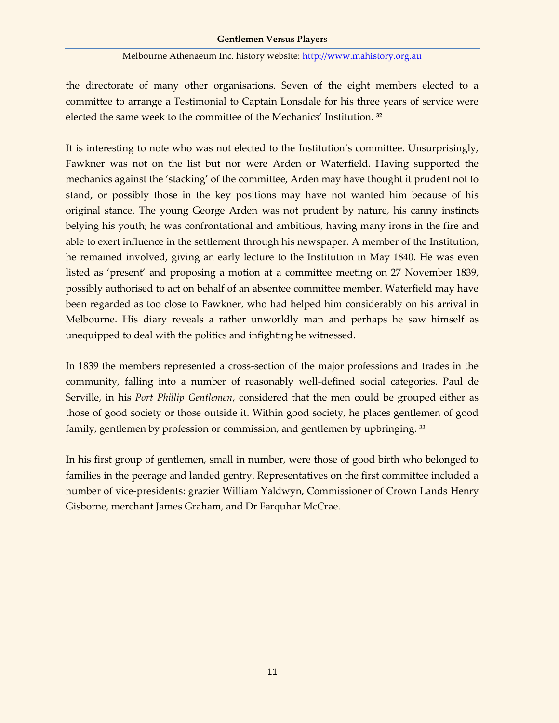the directorate of many other organisations. Seven of the eight members elected to a committee to arrange a Testimonial to Captain Lonsdale for his three years of service were elected the same week to the committee of the Mechanics' Institution. **<sup>32</sup>**

It is interesting to note who was not elected to the Institution's committee. Unsurprisingly, Fawkner was not on the list but nor were Arden or Waterfield. Having supported the mechanics against the 'stacking' of the committee, Arden may have thought it prudent not to stand, or possibly those in the key positions may have not wanted him because of his original stance. The young George Arden was not prudent by nature, his canny instincts belying his youth; he was confrontational and ambitious, having many irons in the fire and able to exert influence in the settlement through his newspaper. A member of the Institution, he remained involved, giving an early lecture to the Institution in May 1840. He was even listed as 'present' and proposing a motion at a committee meeting on 27 November 1839, possibly authorised to act on behalf of an absentee committee member. Waterfield may have been regarded as too close to Fawkner, who had helped him considerably on his arrival in Melbourne. His diary reveals a rather unworldly man and perhaps he saw himself as unequipped to deal with the politics and infighting he witnessed.

In 1839 the members represented a cross-section of the major professions and trades in the community, falling into a number of reasonably well-defined social categories. Paul de Serville, in his *Port Phillip Gentlemen*, considered that the men could be grouped either as those of good society or those outside it. Within good society, he places gentlemen of good family, gentlemen by profession or commission, and gentlemen by upbringing. <sup>33</sup>

In his first group of gentlemen, small in number, were those of good birth who belonged to families in the peerage and landed gentry. Representatives on the first committee included a number of vice-presidents: grazier William Yaldwyn, Commissioner of Crown Lands Henry Gisborne, merchant James Graham, and Dr Farquhar McCrae.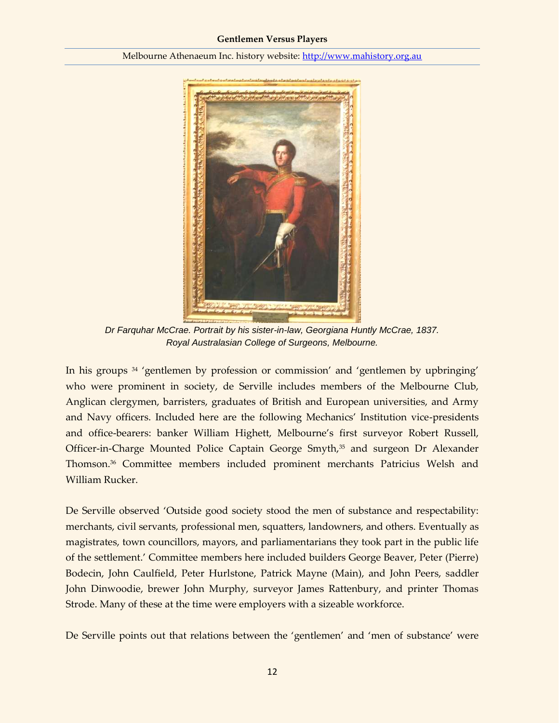

*Dr Farquhar McCrae. Portrait by his sister-in-law, Georgiana Huntly McCrae, 1837. Royal Australasian College of Surgeons, Melbourne.*

In his groups <sup>34</sup> 'gentlemen by profession or commission' and 'gentlemen by upbringing' who were prominent in society, de Serville includes members of the Melbourne Club, Anglican clergymen, barristers, graduates of British and European universities, and Army and Navy officers. Included here are the following Mechanics' Institution vice-presidents and office-bearers: banker William Highett, Melbourne's first surveyor Robert Russell, Officer-in-Charge Mounted Police Captain George Smyth,<sup>35</sup> and surgeon Dr Alexander Thomson.<sup>36</sup> Committee members included prominent merchants Patricius Welsh and William Rucker.

De Serville observed 'Outside good society stood the men of substance and respectability: merchants, civil servants, professional men, squatters, landowners, and others. Eventually as magistrates, town councillors, mayors, and parliamentarians they took part in the public life of the settlement.' Committee members here included builders George Beaver, Peter (Pierre) Bodecin, John Caulfield, Peter Hurlstone, Patrick Mayne (Main), and John Peers, saddler John Dinwoodie, brewer John Murphy, surveyor James Rattenbury, and printer Thomas Strode. Many of these at the time were employers with a sizeable workforce.

De Serville points out that relations between the 'gentlemen' and 'men of substance' were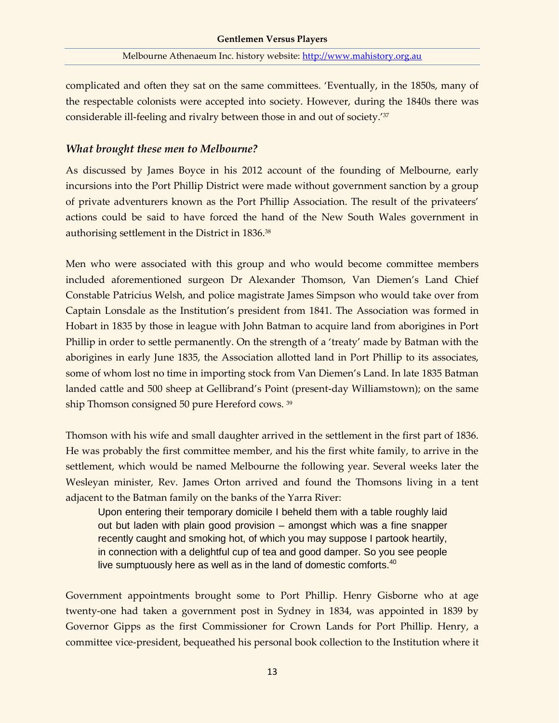complicated and often they sat on the same committees. 'Eventually, in the 1850s, many of the respectable colonists were accepted into society. However, during the 1840s there was considerable ill-feeling and rivalry between those in and out of society.'<sup>37</sup>

### *What brought these men to Melbourne?*

As discussed by James Boyce in his 2012 account of the founding of Melbourne, early incursions into the Port Phillip District were made without government sanction by a group of private adventurers known as the Port Phillip Association. The result of the privateers' actions could be said to have forced the hand of the New South Wales government in authorising settlement in the District in 1836.<sup>38</sup>

Men who were associated with this group and who would become committee members included aforementioned surgeon Dr Alexander Thomson, Van Diemen's Land Chief Constable Patricius Welsh, and police magistrate James Simpson who would take over from Captain Lonsdale as the Institution's president from 1841. The Association was formed in Hobart in 1835 by those in league with John Batman to acquire land from aborigines in Port Phillip in order to settle permanently. On the strength of a 'treaty' made by Batman with the aborigines in early June 1835, the Association allotted land in Port Phillip to its associates, some of whom lost no time in importing stock from Van Diemen's Land. In late 1835 Batman landed cattle and 500 sheep at Gellibrand's Point (present-day Williamstown); on the same ship Thomson consigned 50 pure Hereford cows. <sup>39</sup>

Thomson with his wife and small daughter arrived in the settlement in the first part of 1836. He was probably the first committee member, and his the first white family, to arrive in the settlement, which would be named Melbourne the following year. Several weeks later the Wesleyan minister, Rev. James Orton arrived and found the Thomsons living in a tent adjacent to the Batman family on the banks of the Yarra River:

Upon entering their temporary domicile I beheld them with a table roughly laid out but laden with plain good provision – amongst which was a fine snapper recently caught and smoking hot, of which you may suppose I partook heartily, in connection with a delightful cup of tea and good damper. So you see people live sumptuously here as well as in the land of domestic comforts.<sup>40</sup>

Government appointments brought some to Port Phillip. Henry Gisborne who at age twenty-one had taken a government post in Sydney in 1834, was appointed in 1839 by Governor Gipps as the first Commissioner for Crown Lands for Port Phillip. Henry, a committee vice-president, bequeathed his personal book collection to the Institution where it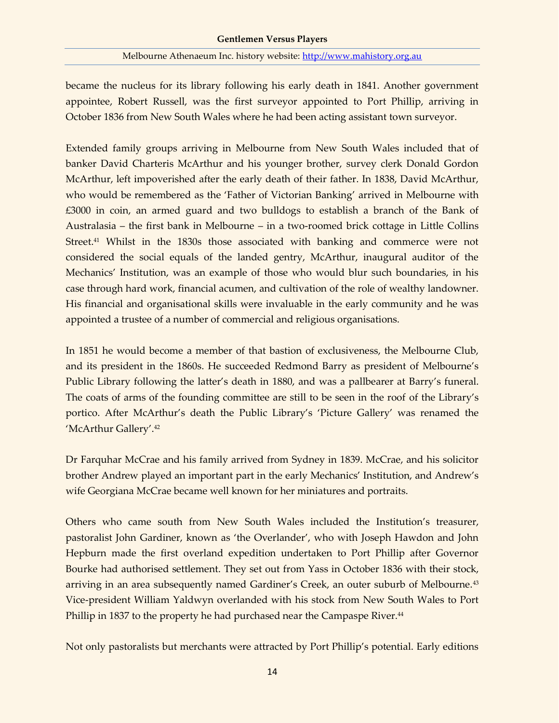became the nucleus for its library following his early death in 1841. Another government appointee, Robert Russell, was the first surveyor appointed to Port Phillip, arriving in October 1836 from New South Wales where he had been acting assistant town surveyor.

Extended family groups arriving in Melbourne from New South Wales included that of banker David Charteris McArthur and his younger brother, survey clerk Donald Gordon McArthur, left impoverished after the early death of their father. In 1838, David McArthur, who would be remembered as the 'Father of Victorian Banking' arrived in Melbourne with £3000 in coin, an armed guard and two bulldogs to establish a branch of the Bank of Australasia – the first bank in Melbourne – in a two-roomed brick cottage in Little Collins Street.<sup>41</sup> Whilst in the 1830s those associated with banking and commerce were not considered the social equals of the landed gentry, McArthur, inaugural auditor of the Mechanics' Institution, was an example of those who would blur such boundaries, in his case through hard work, financial acumen, and cultivation of the role of wealthy landowner. His financial and organisational skills were invaluable in the early community and he was appointed a trustee of a number of commercial and religious organisations.

In 1851 he would become a member of that bastion of exclusiveness, the Melbourne Club, and its president in the 1860s. He succeeded Redmond Barry as president of Melbourne's Public Library following the latter's death in 1880, and was a pallbearer at Barry's funeral. The coats of arms of the founding committee are still to be seen in the roof of the Library's portico. After McArthur's death the Public Library's 'Picture Gallery' was renamed the 'McArthur Gallery'.<sup>42</sup>

Dr Farquhar McCrae and his family arrived from Sydney in 1839. McCrae, and his solicitor brother Andrew played an important part in the early Mechanics' Institution, and Andrew's wife Georgiana McCrae became well known for her miniatures and portraits.

Others who came south from New South Wales included the Institution's treasurer, pastoralist John Gardiner, known as 'the Overlander', who with Joseph Hawdon and John Hepburn made the first overland expedition undertaken to Port Phillip after Governor Bourke had authorised settlement. They set out from Yass in October 1836 with their stock, arriving in an area subsequently named Gardiner's Creek, an outer suburb of Melbourne.<sup>43</sup> Vice-president William Yaldwyn overlanded with his stock from New South Wales to Port Phillip in 1837 to the property he had purchased near the Campaspe River.<sup>44</sup>

Not only pastoralists but merchants were attracted by Port Phillip's potential. Early editions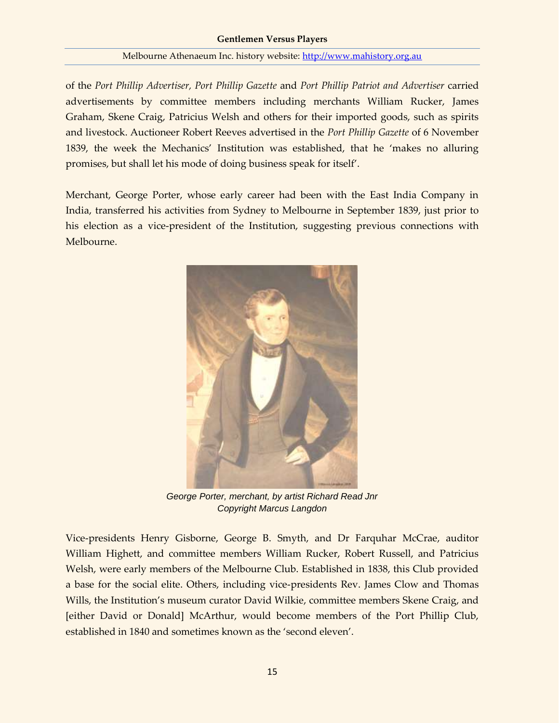of the *Port Phillip Advertiser, Port Phillip Gazette* and *Port Phillip Patriot and Advertiser* carried advertisements by committee members including merchants William Rucker, James Graham, Skene Craig, Patricius Welsh and others for their imported goods, such as spirits and livestock. Auctioneer Robert Reeves advertised in the *Port Phillip Gazette* of 6 November 1839, the week the Mechanics' Institution was established, that he 'makes no alluring promises, but shall let his mode of doing business speak for itself'.

Merchant, George Porter, whose early career had been with the East India Company in India, transferred his activities from Sydney to Melbourne in September 1839, just prior to his election as a vice-president of the Institution, suggesting previous connections with Melbourne.



*George Porter, merchant, by artist Richard Read Jnr Copyright Marcus Langdon*

Vice-presidents Henry Gisborne, George B. Smyth, and Dr Farquhar McCrae, auditor William Highett, and committee members William Rucker, Robert Russell, and Patricius Welsh, were early members of the Melbourne Club. Established in 1838, this Club provided a base for the social elite. Others, including vice-presidents Rev. James Clow and Thomas Wills, the Institution's museum curator David Wilkie, committee members Skene Craig, and [either David or Donald] McArthur, would become members of the Port Phillip Club, established in 1840 and sometimes known as the 'second eleven'.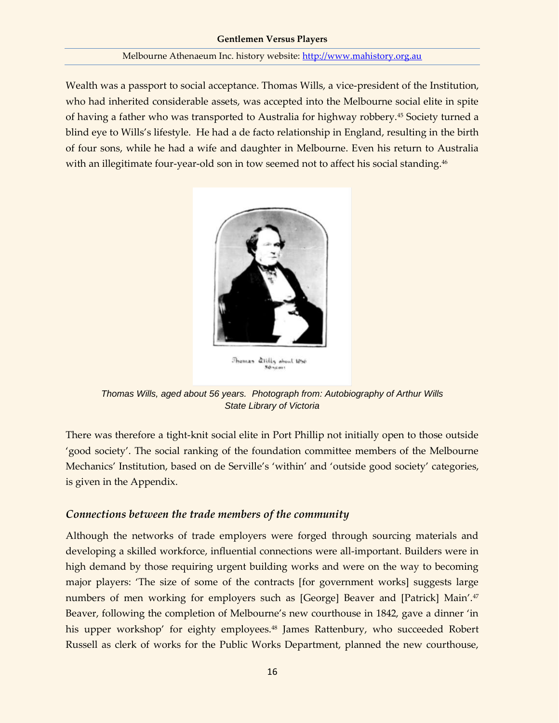Wealth was a passport to social acceptance. Thomas Wills, a vice-president of the Institution, who had inherited considerable assets, was accepted into the Melbourne social elite in spite of having a father who was transported to Australia for highway robbery.<sup>45</sup> Society turned a blind eye to Wills's lifestyle. He had a de facto relationship in England, resulting in the birth of four sons, while he had a wife and daughter in Melbourne. Even his return to Australia with an illegitimate four-year-old son in tow seemed not to affect his social standing.<sup>46</sup>



Thomas alilly obout 1850 Sé scart

*Thomas Wills, aged about 56 years. Photograph from: Autobiography of Arthur Wills State Library of Victoria*

There was therefore a tight-knit social elite in Port Phillip not initially open to those outside 'good society'. The social ranking of the foundation committee members of the Melbourne Mechanics' Institution, based on de Serville's 'within' and 'outside good society' categories, is given in the Appendix.

### *Connections between the trade members of the community*

Although the networks of trade employers were forged through sourcing materials and developing a skilled workforce, influential connections were all-important. Builders were in high demand by those requiring urgent building works and were on the way to becoming major players: 'The size of some of the contracts [for government works] suggests large numbers of men working for employers such as [George] Beaver and [Patrick] Main'.<sup>47</sup> Beaver, following the completion of Melbourne's new courthouse in 1842, gave a dinner 'in his upper workshop' for eighty employees.<sup>48</sup> James Rattenbury, who succeeded Robert Russell as clerk of works for the Public Works Department, planned the new courthouse,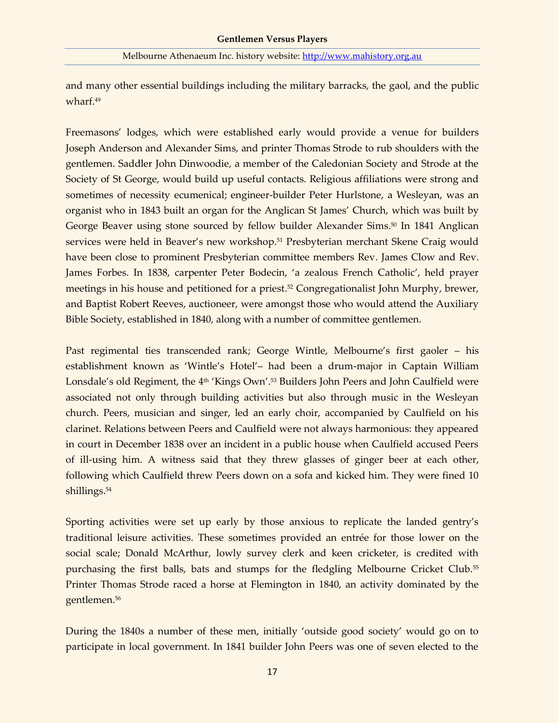and many other essential buildings including the military barracks, the gaol, and the public wharf.<sup>49</sup>

Freemasons' lodges, which were established early would provide a venue for builders Joseph Anderson and Alexander Sims, and printer Thomas Strode to rub shoulders with the gentlemen. Saddler John Dinwoodie, a member of the Caledonian Society and Strode at the Society of St George, would build up useful contacts. Religious affiliations were strong and sometimes of necessity ecumenical; engineer-builder Peter Hurlstone, a Wesleyan, was an organist who in 1843 built an organ for the Anglican St James' Church, which was built by George Beaver using stone sourced by fellow builder Alexander Sims.<sup>50</sup> In 1841 Anglican services were held in Beaver's new workshop.<sup>51</sup> Presbyterian merchant Skene Craig would have been close to prominent Presbyterian committee members Rev. James Clow and Rev. James Forbes. In 1838, carpenter Peter Bodecin, 'a zealous French Catholic', held prayer meetings in his house and petitioned for a priest. <sup>52</sup> Congregationalist John Murphy, brewer, and Baptist Robert Reeves, auctioneer, were amongst those who would attend the Auxiliary Bible Society, established in 1840, along with a number of committee gentlemen.

Past regimental ties transcended rank; George Wintle, Melbourne's first gaoler – his establishment known as 'Wintle's Hotel'– had been a drum-major in Captain William Lonsdale's old Regiment, the 4<sup>th</sup> 'Kings Own'.<sup>53</sup> Builders John Peers and John Caulfield were associated not only through building activities but also through music in the Wesleyan church. Peers, musician and singer, led an early choir, accompanied by Caulfield on his clarinet. Relations between Peers and Caulfield were not always harmonious: they appeared in court in December 1838 over an incident in a public house when Caulfield accused Peers of ill-using him. A witness said that they threw glasses of ginger beer at each other, following which Caulfield threw Peers down on a sofa and kicked him. They were fined 10 shillings.<sup>54</sup>

Sporting activities were set up early by those anxious to replicate the landed gentry's traditional leisure activities. These sometimes provided an entrée for those lower on the social scale; Donald McArthur, lowly survey clerk and keen cricketer, is credited with purchasing the first balls, bats and stumps for the fledgling Melbourne Cricket Club.<sup>55</sup> Printer Thomas Strode raced a horse at Flemington in 1840, an activity dominated by the gentlemen.<sup>56</sup>

During the 1840s a number of these men, initially 'outside good society' would go on to participate in local government. In 1841 builder John Peers was one of seven elected to the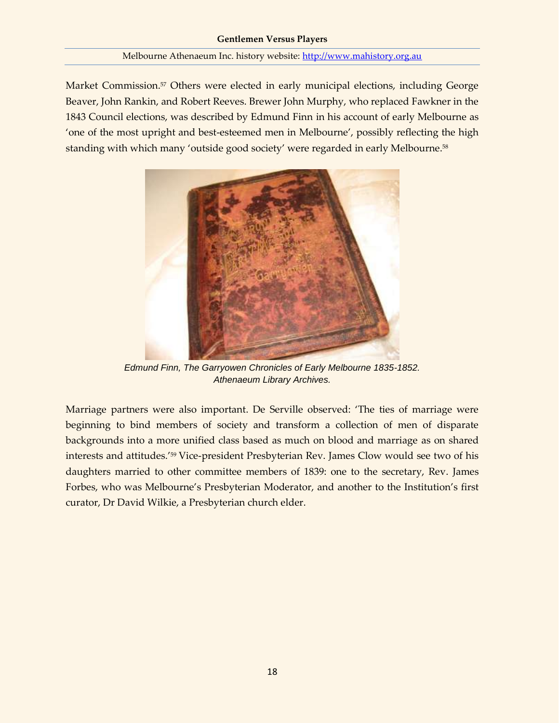Market Commission.<sup>57</sup> Others were elected in early municipal elections, including George Beaver, John Rankin, and Robert Reeves. Brewer John Murphy, who replaced Fawkner in the 1843 Council elections, was described by Edmund Finn in his account of early Melbourne as 'one of the most upright and best-esteemed men in Melbourne', possibly reflecting the high standing with which many 'outside good society' were regarded in early Melbourne.<sup>58</sup>



*Edmund Finn, The Garryowen Chronicles of Early Melbourne 1835-1852. Athenaeum Library Archives.*

Marriage partners were also important. De Serville observed: 'The ties of marriage were beginning to bind members of society and transform a collection of men of disparate backgrounds into a more unified class based as much on blood and marriage as on shared interests and attitudes.'<sup>59</sup> Vice-president Presbyterian Rev. James Clow would see two of his daughters married to other committee members of 1839: one to the secretary, Rev. James Forbes, who was Melbourne's Presbyterian Moderator, and another to the Institution's first curator, Dr David Wilkie, a Presbyterian church elder.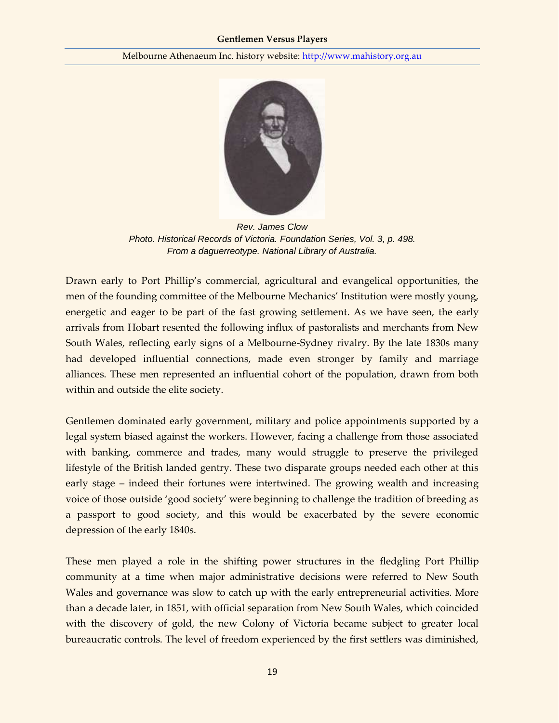

*Rev. James Clow Photo. Historical Records of Victoria. Foundation Series, Vol. 3, p. 498. From a daguerreotype. National Library of Australia.*

Drawn early to Port Phillip's commercial, agricultural and evangelical opportunities, the men of the founding committee of the Melbourne Mechanics' Institution were mostly young, energetic and eager to be part of the fast growing settlement. As we have seen, the early arrivals from Hobart resented the following influx of pastoralists and merchants from New South Wales, reflecting early signs of a Melbourne-Sydney rivalry. By the late 1830s many had developed influential connections, made even stronger by family and marriage alliances. These men represented an influential cohort of the population, drawn from both within and outside the elite society.

Gentlemen dominated early government, military and police appointments supported by a legal system biased against the workers. However, facing a challenge from those associated with banking, commerce and trades, many would struggle to preserve the privileged lifestyle of the British landed gentry. These two disparate groups needed each other at this early stage – indeed their fortunes were intertwined. The growing wealth and increasing voice of those outside 'good society' were beginning to challenge the tradition of breeding as a passport to good society, and this would be exacerbated by the severe economic depression of the early 1840s.

These men played a role in the shifting power structures in the fledgling Port Phillip community at a time when major administrative decisions were referred to New South Wales and governance was slow to catch up with the early entrepreneurial activities. More than a decade later, in 1851, with official separation from New South Wales, which coincided with the discovery of gold, the new Colony of Victoria became subject to greater local bureaucratic controls. The level of freedom experienced by the first settlers was diminished,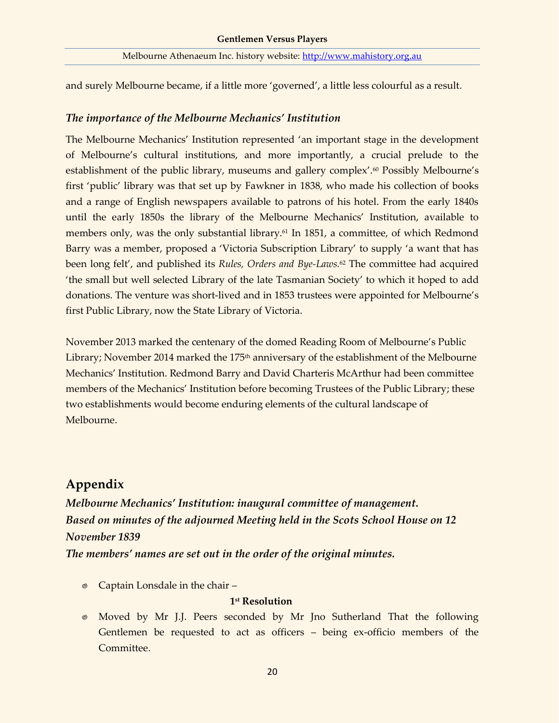and surely Melbourne became, if a little more 'governed', a little less colourful as a result.

### *The importance of the Melbourne Mechanics' Institution*

The Melbourne Mechanics' Institution represented 'an important stage in the development of Melbourne's cultural institutions, and more importantly, a crucial prelude to the establishment of the public library, museums and gallery complex'.<sup>60</sup> Possibly Melbourne's first 'public' library was that set up by Fawkner in 1838, who made his collection of books and a range of English newspapers available to patrons of his hotel. From the early 1840s until the early 1850s the library of the Melbourne Mechanics' Institution, available to members only, was the only substantial library.<sup>61</sup> In 1851, a committee, of which Redmond Barry was a member, proposed a 'Victoria Subscription Library' to supply 'a want that has been long felt', and published its *Rules, Orders and Bye-Laws.*<sup>62</sup> The committee had acquired 'the small but well selected Library of the late Tasmanian Society' to which it hoped to add donations. The venture was short-lived and in 1853 trustees were appointed for Melbourne's first Public Library, now the State Library of Victoria.

November 2013 marked the centenary of the domed Reading Room of Melbourne's Public Library; November 2014 marked the 175<sup>th</sup> anniversary of the establishment of the Melbourne Mechanics' Institution. Redmond Barry and David Charteris McArthur had been committee members of the Mechanics' Institution before becoming Trustees of the Public Library; these two establishments would become enduring elements of the cultural landscape of Melbourne.

## **Appendix**

*Melbourne Mechanics' Institution: inaugural committee of management. Based on minutes of the adjourned Meeting held in the Scots School House on 12 November 1839*

*The members' names are set out in the order of the original minutes.*

Captain Lonsdale in the chair –

### **1 st Resolution**

Moved by Mr J.J. Peers seconded by Mr Jno Sutherland That the following Gentlemen be requested to act as officers – being ex-officio members of the Committee.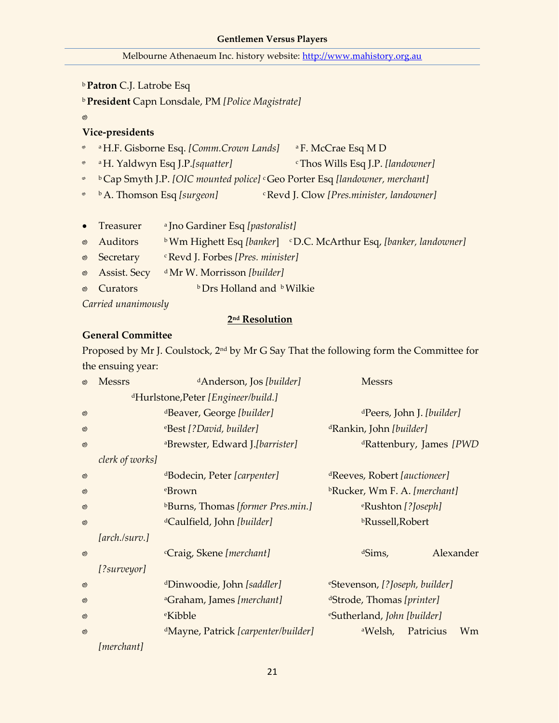|           | <b>Patron C.J. Latrobe Esq</b>                               |                                                      |  |                                                                                                                                                                                                                                                                                                                                                                                                       |  |  |  |
|-----------|--------------------------------------------------------------|------------------------------------------------------|--|-------------------------------------------------------------------------------------------------------------------------------------------------------------------------------------------------------------------------------------------------------------------------------------------------------------------------------------------------------------------------------------------------------|--|--|--|
|           | <sup>b</sup> President Capn Lonsdale, PM [Police Magistrate] |                                                      |  |                                                                                                                                                                                                                                                                                                                                                                                                       |  |  |  |
| ⊚)        |                                                              |                                                      |  |                                                                                                                                                                                                                                                                                                                                                                                                       |  |  |  |
|           | Vice-presidents                                              |                                                      |  |                                                                                                                                                                                                                                                                                                                                                                                                       |  |  |  |
| ۵         |                                                              | <sup>a</sup> H.F. Gisborne Esq. [Comm.Crown Lands]   |  | <sup>a</sup> F. McCrae Esq M D                                                                                                                                                                                                                                                                                                                                                                        |  |  |  |
| ø         |                                                              | <sup>a</sup> H. Yaldwyn Esq J.P.[squatter]           |  | <sup>c</sup> Thos Wills Esq J.P. [landowner]                                                                                                                                                                                                                                                                                                                                                          |  |  |  |
| ø         |                                                              |                                                      |  | <sup>b</sup> Cap Smyth J.P. [OIC mounted police] <sup>c</sup> Geo Porter Esq [landowner, merchant]                                                                                                                                                                                                                                                                                                    |  |  |  |
| ø         | <sup>b</sup> A. Thomson Esq [surgeon]                        |                                                      |  | <sup>c</sup> Revd J. Clow [Pres.minister, landowner]                                                                                                                                                                                                                                                                                                                                                  |  |  |  |
|           |                                                              |                                                      |  |                                                                                                                                                                                                                                                                                                                                                                                                       |  |  |  |
| $\bullet$ | Treasurer                                                    | <sup>a</sup> Jno Gardiner Esq [ <i>pastoralist</i> ] |  |                                                                                                                                                                                                                                                                                                                                                                                                       |  |  |  |
|           | $\sim$ $\Lambda$ and $\Lambda$ and $\Lambda$                 |                                                      |  | $bM_{\text{max}}$ , LU-1, $d$ , $\Gamma_{\text{max}}$ , $d_{\text{max}}$ , $d_{\text{max}}$ , $\Gamma_{\text{max}}$ , $\Gamma_{\text{max}}$ , $\Gamma_{\text{max}}$ , $d_{\text{max}}$ , $d_{\text{max}}$ , $d_{\text{max}}$ , $d_{\text{max}}$ , $d_{\text{max}}$ , $d_{\text{max}}$ , $d_{\text{max}}$ , $d_{\text{max}}$ , $d_{\text{max}}$ , $d_{\text{max}}$ , $d_{\text{max}}$ , $d_{\text{max$ |  |  |  |

- Auditors b Wm Highett Esq *[banker*] c D.C. McArthur Esq, *[banker, landowner]*
- Secretary <sup>c</sup>Revd J. Forbes *[Pres. minister]*
- Assist. Secy <sup>d</sup>Mr W. Morrisson *[builder]*
- $\circ$  Curators **b**Drs Holland and **b** Wilkie

*Carried unanimously*

#### **2 nd Resolution**

### **General Committee**

Proposed by Mr J. Coulstock, 2nd by Mr G Say That the following form the Committee for the ensuing year:

| $\circledcirc$ | <b>Messrs</b>                                   | <sup>d</sup> Anderson, Jos [builder]            | <b>Messrs</b>                              |  |  |
|----------------|-------------------------------------------------|-------------------------------------------------|--------------------------------------------|--|--|
|                | <sup>d</sup> Hurlstone, Peter [Engineer/build.] |                                                 |                                            |  |  |
| $^{\circledR}$ |                                                 | <sup>d</sup> Beaver, George [builder]           | <sup>d</sup> Peers, John J. [builder]      |  |  |
| $^{\circledR}$ |                                                 | eBest [?David, builder]                         | <sup>d</sup> Rankin, John [builder]        |  |  |
| $\circledcirc$ |                                                 | <sup>a</sup> Brewster, Edward J.[barrister]     | <sup>d</sup> Rattenbury, James [PWD        |  |  |
|                | clerk of works]                                 |                                                 |                                            |  |  |
| $\circledcirc$ |                                                 | dBodecin, Peter [carpenter]                     | <sup>d</sup> Reeves, Robert [auctioneer]   |  |  |
| ⊚              |                                                 | eBrown                                          | <sup>b</sup> Rucker, Wm F. A. [merchant]   |  |  |
| $^{\circledR}$ |                                                 | <sup>b</sup> Burns, Thomas [former Pres.min.]   | <sup>e</sup> Rushton [? <i>Joseph</i> ]    |  |  |
| $^{\circledR}$ |                                                 | <sup>d</sup> Caulfield, John [builder]          | <b>bRussell, Robert</b>                    |  |  |
|                | [arch./surv.]                                   |                                                 |                                            |  |  |
| $^{\circledR}$ |                                                 | <sup>c</sup> Craig, Skene [merchant]            | Alexander<br>dSims,                        |  |  |
|                | [?surveyor]                                     |                                                 |                                            |  |  |
| $^{\circledR}$ |                                                 | <sup>d</sup> Dinwoodie, John [saddler]          | <sup>e</sup> Stevenson, [?Joseph, builder] |  |  |
| $^{\circledR}$ |                                                 | <sup>a</sup> Graham, James [merchant]           | <sup>d</sup> Strode, Thomas [printer]      |  |  |
| $^{\circledR}$ |                                                 | <sup>e</sup> Kibble                             | <i>eSutherland, John [builder]</i>         |  |  |
| $^{\circledR}$ |                                                 | <sup>d</sup> Mayne, Patrick [carpenter/builder] | Wm<br><sup>a</sup> Welsh,<br>Patricius     |  |  |
|                | [merchant]                                      |                                                 |                                            |  |  |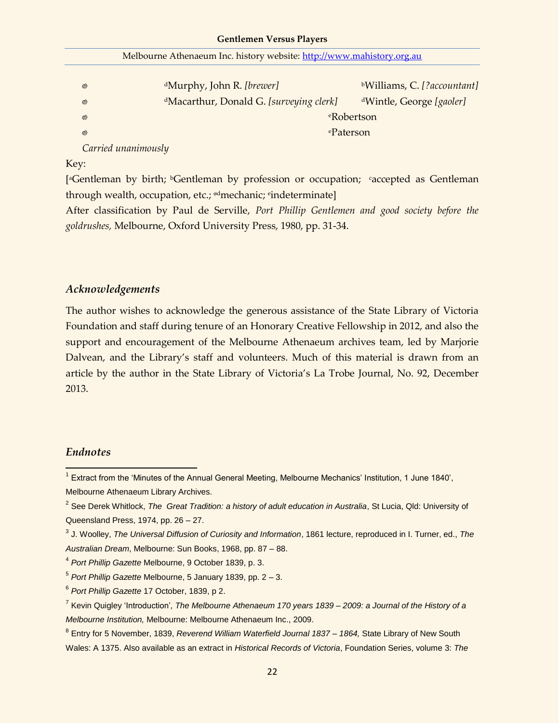|  | Melbourne Athenaeum Inc. history website: http://www.mahistory.org.au |
|--|-----------------------------------------------------------------------|
|  |                                                                       |

| $\circledcirc$      | <sup>d</sup> Murphy, John R. [brewer]               | <sup>b</sup> Williams, C. [?accountant] |  |  |
|---------------------|-----------------------------------------------------|-----------------------------------------|--|--|
| ©)                  | <sup>d</sup> Macarthur, Donald G. [surveying clerk] | <sup>d</sup> Wintle, George [gaoler]    |  |  |
| ම                   | <sup>e</sup> Robertson                              |                                         |  |  |
| $\circledcirc$      | <sup>e</sup> Paterson                               |                                         |  |  |
| Carried unanimously |                                                     |                                         |  |  |

Key:

[<sup>a</sup>Gentleman by birth; <sup>b</sup>Gentleman by profession or occupation; saccepted as Gentleman through wealth, occupation, etc.; <sup>ed</sup>mechanic; <sup>e</sup>indeterminate]

After classification by Paul de Serville, *Port Phillip Gentlemen and good society before the goldrushes,* Melbourne, Oxford University Press, 1980, pp. 31-34.

### *Acknowledgements*

The author wishes to acknowledge the generous assistance of the State Library of Victoria Foundation and staff during tenure of an Honorary Creative Fellowship in 2012, and also the support and encouragement of the Melbourne Athenaeum archives team, led by Marjorie Dalvean, and the Library's staff and volunteers. Much of this material is drawn from an article by the author in the State Library of Victoria's La Trobe Journal, No. 92, December 2013.

### *Endnotes*

 1 Extract from the 'Minutes of the Annual General Meeting, Melbourne Mechanics' Institution, 1 June 1840', Melbourne Athenaeum Library Archives.

<sup>&</sup>lt;sup>2</sup> See Derek Whitlock, *The Great Tradition: a history of adult education in Australia*, St Lucia, Qld: University of Queensland Press, 1974, pp. 26 – 27.

<sup>3</sup> J. Woolley, *The Universal Diffusion of Curiosity and Information*, 1861 lecture, reproduced in I. Turner, ed., *The Australian Dream*, Melbourne: Sun Books, 1968, pp. 87 – 88.

<sup>4</sup> *Port Phillip Gazette* Melbourne, 9 October 1839, p. 3.

<sup>5</sup> *Port Phillip Gazette* Melbourne, 5 January 1839, pp. 2 – 3.

<sup>6</sup> *Port Phillip Gazette* 17 October, 1839, p 2.

<sup>7</sup> Kevin Quigley 'Introduction'*, The Melbourne Athenaeum 170 years 1839 – 2009: a Journal of the History of a Melbourne Institution,* Melbourne: Melbourne Athenaeum Inc., 2009.

<sup>8</sup> Entry for 5 November, 1839, *Reverend William Waterfield Journal 1837 – 1864,* State Library of New South Wales: A 1375. Also available as an extract in *Historical Records of Victoria*, Foundation Series, volume 3: *The*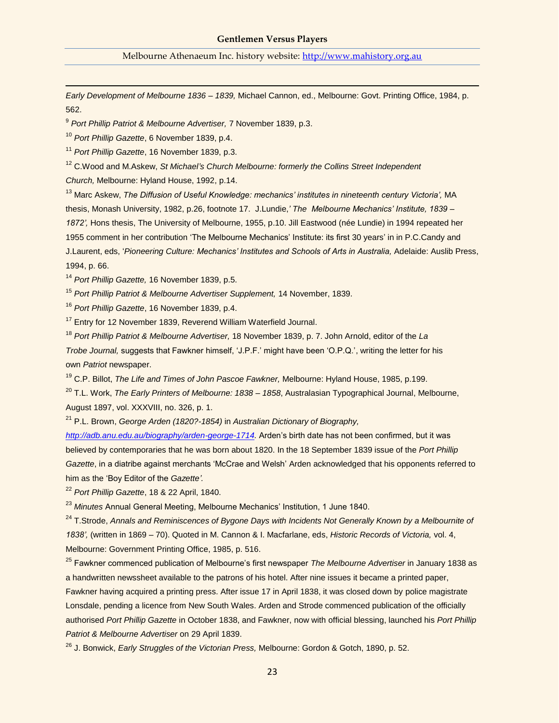*Early Development of Melbourne 1836 – 1839,* Michael Cannon, ed., Melbourne: Govt. Printing Office, 1984, p. 562.

9 *Port Phillip Patriot & Melbourne Advertiser,* 7 November 1839, p.3.

<sup>10</sup> *Port Phillip Gazette*, 6 November 1839, p.4.

<sup>11</sup> *Port Phillip Gazette*, 16 November 1839, p.3.

<sup>12</sup> C.Wood and M.Askew, *St Michael's Church Melbourne: formerly the Collins Street Independent* 

*Church,* Melbourne: Hyland House, 1992, p.14.

<sup>13</sup> Marc Askew, *The Diffusion of Useful Knowledge: mechanics' institutes in nineteenth century Victoria',* MA thesis, Monash University, 1982, p.26, footnote 17. J.Lundie,*' The Melbourne Mechanics' Institute, 1839 – 1872',* Hons thesis, The University of Melbourne, 1955, p.10. Jill Eastwood (née Lundie) in 1994 repeated her 1955 comment in her contribution 'The Melbourne Mechanics' Institute: its first 30 years' in in P.C.Candy and J.Laurent, eds, '*Pioneering Culture: Mechanics' Institutes and Schools of Arts in Australia,* Adelaide: Auslib Press, 1994, p. 66.

<sup>14</sup> *Port Phillip Gazette,* 16 November 1839, p.5.

<sup>15</sup> *Port Phillip Patriot & Melbourne Advertiser Supplement,* 14 November, 1839.

<sup>16</sup> *Port Phillip Gazette*, 16 November 1839, p.4.

<sup>17</sup> Entry for 12 November 1839, Reverend William Waterfield Journal.

<sup>18</sup> *Port Phillip Patriot & Melbourne Advertiser,* 18 November 1839, p. 7. John Arnold, editor of the *La Trobe Journal,* suggests that Fawkner himself, 'J.P.F.' might have been 'O.P.Q.', writing the letter for his own *Patriot* newspaper.

<sup>19</sup> C.P. Billot, *The Life and Times of John Pascoe Fawkner,* Melbourne: Hyland House, 1985, p.199.

<sup>20</sup> T.L. Work, *The Early Printers of Melbourne: 1838 – 1858*, Australasian Typographical Journal, Melbourne, August 1897, vol. XXXVIII, no. 326, p. 1.

<sup>21</sup> P.L. Brown, *George Arden (1820?-1854)* in *Australian Dictionary of Biography,* 

*[http://adb.anu.edu.au/biography/arden-george-1714.](http://adb.anu.edu.au/biography/arden-george-1714)* Arden's birth date has not been confirmed, but it was believed by contemporaries that he was born about 1820. In the 18 September 1839 issue of the *Port Phillip Gazette*, in a diatribe against merchants 'McCrae and Welsh' Arden acknowledged that his opponents referred to him as the 'Boy Editor of the *Gazette'.*

<sup>22</sup> *Port Phillip Gazette*, 18 & 22 April, 1840.

<sup>23</sup> Minutes Annual General Meeting, Melbourne Mechanics' Institution, 1 June 1840.

<sup>24</sup> T.Strode, *Annals and Reminiscences of Bygone Days with Incidents Not Generally Known by a Melbournite of 1838',* (written in 1869 – 70). Quoted in M. Cannon & I. Macfarlane, eds, *Historic Records of Victoria,* vol. 4, Melbourne: Government Printing Office, 1985, p. 516.

<sup>25</sup> Fawkner commenced publication of Melbourne's first newspaper *The Melbourne Advertiser* in January 1838 as a handwritten newssheet available to the patrons of his hotel. After nine issues it became a printed paper, Fawkner having acquired a printing press. After issue 17 in April 1838, it was closed down by police magistrate Lonsdale, pending a licence from New South Wales. Arden and Strode commenced publication of the officially authorised *Port Phillip Gazette* in October 1838, and Fawkner, now with official blessing, launched his *Port Phillip Patriot & Melbourne Advertiser* on 29 April 1839.

<sup>26</sup> J. Bonwick, *Early Struggles of the Victorian Press,* Melbourne: Gordon & Gotch, 1890, p. 52.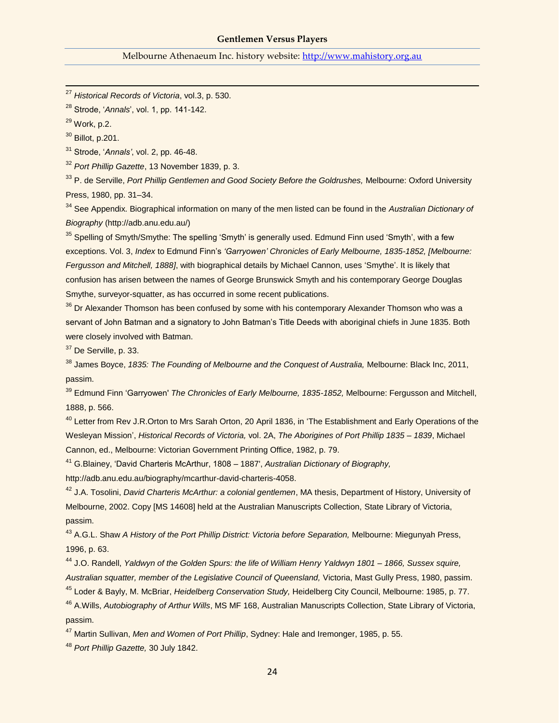<sup>27</sup> *Historical Records of Victoria*, vol.3, p. 530.

<sup>28</sup> Strode, '*Annals*', vol. 1, pp. 141-142.

<sup>29</sup> Work, p.2.

l

<sup>30</sup> Billot, p.201.

<sup>31</sup> Strode, '*Annals'*, vol. 2, pp. 46-48.

<sup>32</sup> *Port Phillip Gazette*, 13 November 1839, p. 3.

<sup>33</sup> P. de Serville, *Port Phillip Gentlemen and Good Society Before the Goldrushes,* Melbourne: Oxford University Press, 1980, pp. 31–34.

<sup>34</sup> See Appendix. Biographical information on many of the men listed can be found in the *Australian Dictionary of Biography* (http://adb.anu.edu.au/)

<sup>35</sup> Spelling of Smyth/Smythe: The spelling 'Smyth' is generally used. Edmund Finn used 'Smyth', with a few exceptions. Vol. 3, *Index* to Edmund Finn's *'Garryowen' Chronicles of Early Melbourne, 1835-1852, [Melbourne: Fergusson and Mitchell, 1888]*, with biographical details by Michael Cannon, uses 'Smythe'. It is likely that confusion has arisen between the names of George Brunswick Smyth and his contemporary George Douglas Smythe, surveyor-squatter, as has occurred in some recent publications.

<sup>36</sup> Dr Alexander Thomson has been confused by some with his contemporary Alexander Thomson who was a servant of John Batman and a signatory to John Batman's Title Deeds with aboriginal chiefs in June 1835. Both were closely involved with Batman.

<sup>37</sup> De Serville, p. 33.

<sup>38</sup> James Boyce, *1835: The Founding of Melbourne and the Conquest of Australia,* Melbourne: Black Inc, 2011, passim.

<sup>39</sup> Edmund Finn 'Garryowen' *The Chronicles of Early Melbourne, 1835-1852,* Melbourne: Fergusson and Mitchell, 1888, p. 566.

<sup>40</sup> Letter from Rev J.R.Orton to Mrs Sarah Orton, 20 April 1836, in 'The Establishment and Early Operations of the Wesleyan Mission', *Historical Records of Victoria,* vol. 2A, *The Aborigines of Port Phillip 1835 – 1839*, Michael Cannon, ed., Melbourne: Victorian Government Printing Office, 1982, p. 79.

<sup>41</sup> G.Blainey, 'David Charteris McArthur, 1808 – 1887', *Australian Dictionary of Biography,*

http://adb.anu.edu.au/biography/mcarthur-david-charteris-4058.

<sup>42</sup> J.A. Tosolini, *David Charteris McArthur: a colonial gentlemen*, MA thesis, Department of History, University of Melbourne, 2002. Copy [MS 14608] held at the Australian Manuscripts Collection, State Library of Victoria, passim.

<sup>43</sup> A.G.L. Shaw *A History of the Port Phillip District: Victoria before Separation,* Melbourne: Miegunyah Press, 1996, p. 63.

<sup>44</sup> J.O. Randell, *Yaldwyn of the Golden Spurs: the life of William Henry Yaldwyn 1801 – 1866, Sussex squire, Australian squatter, member of the Legislative Council of Queensland,* Victoria, Mast Gully Press, 1980, passim. <sup>45</sup> Loder & Bayly, M. McBriar, *Heidelberg Conservation Study,* Heidelberg City Council, Melbourne: 1985, p. 77.

<sup>46</sup> A.Wills, *Autobiography of Arthur Wills*, MS MF 168, Australian Manuscripts Collection, State Library of Victoria, passim.

<sup>47</sup> Martin Sullivan, *Men and Women of Port Phillip*, Sydney: Hale and Iremonger, 1985, p. 55.

<sup>48</sup> *Port Phillip Gazette,* 30 July 1842.